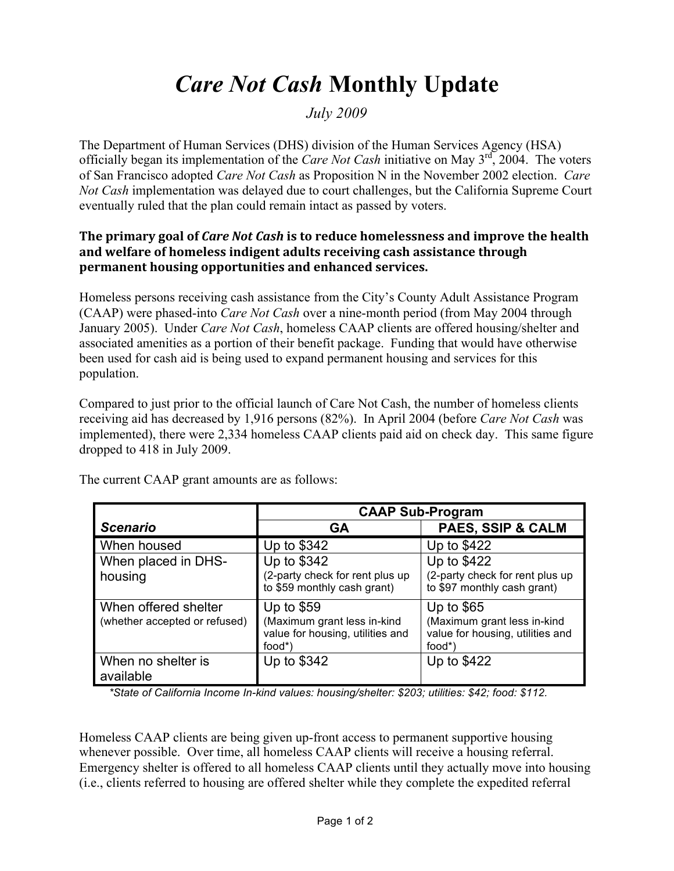## *Care Not Cash* **Monthly Update**

## *July 2009*

The Department of Human Services (DHS) division of the Human Services Agency (HSA) officially began its implementation of the *Care Not Cash* initiative on May 3rd, 2004. The voters of San Francisco adopted *Care Not Cash* as Proposition N in the November 2002 election. *Care Not Cash* implementation was delayed due to court challenges, but the California Supreme Court eventually ruled that the plan could remain intact as passed by voters.

## **The primary goal of** *Care Not Cash* **is to reduce homelessness and improve the health and welfare of homeless indigent adults receiving cash assistance through permanent housing opportunities and enhanced services.**

Homeless persons receiving cash assistance from the City's County Adult Assistance Program (CAAP) were phased-into *Care Not Cash* over a nine-month period (from May 2004 through January 2005). Under *Care Not Cash*, homeless CAAP clients are offered housing/shelter and associated amenities as a portion of their benefit package. Funding that would have otherwise been used for cash aid is being used to expand permanent housing and services for this population.

Compared to just prior to the official launch of Care Not Cash, the number of homeless clients receiving aid has decreased by 1,916 persons (82%). In April 2004 (before *Care Not Cash* was implemented), there were 2,334 homeless CAAP clients paid aid on check day. This same figure dropped to 418 in July 2009.

|                                                       | <b>CAAP Sub-Program</b>                                                                  |                                                                                          |
|-------------------------------------------------------|------------------------------------------------------------------------------------------|------------------------------------------------------------------------------------------|
| <b>Scenario</b>                                       | <b>GA</b>                                                                                | PAES, SSIP & CALM                                                                        |
| When housed                                           | Up to \$342                                                                              | Up to \$422                                                                              |
| When placed in DHS-<br>housing                        | Up to \$342<br>(2-party check for rent plus up<br>to \$59 monthly cash grant)            | Up to \$422<br>(2-party check for rent plus up<br>to \$97 monthly cash grant)            |
| When offered shelter<br>(whether accepted or refused) | Up to $$59$<br>(Maximum grant less in-kind<br>value for housing, utilities and<br>food*) | Up to $$65$<br>(Maximum grant less in-kind<br>value for housing, utilities and<br>food*) |
| When no shelter is<br>available                       | Up to \$342                                                                              | Up to \$422                                                                              |

The current CAAP grant amounts are as follows:

*\*State of California Income In-kind values: housing/shelter: \$203; utilities: \$42; food: \$112.*

Homeless CAAP clients are being given up-front access to permanent supportive housing whenever possible. Over time, all homeless CAAP clients will receive a housing referral. Emergency shelter is offered to all homeless CAAP clients until they actually move into housing (i.e., clients referred to housing are offered shelter while they complete the expedited referral